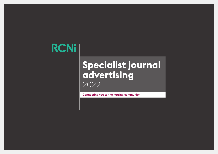# **RCNi**

## **Specialist journal advertising** 2022

Connecting you to the nursing community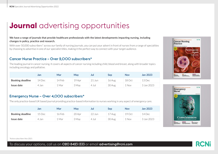#### **We have a range of journals that provide healthcare professionals with the latest developments impacting nursing, including changes in policy, practice and research.**

With over 50,000 subscribers<sup>\*</sup> across our family of nursing journals, you can put your advert in front of nurses from a range of specialities by choosing to advertise in one of our specialist titles, making it the perfect way to connect with your target audience.

#### Cancer Nurse Practice – Over 2,000 subscribers\*

The leading journal in cancer nursing. It covers all aspects of cancer nursing including child, blood and breast, along with broader topics including oncology and palliative.

|                         | Jan    | Mar    | May    | Jul    | Sep    | Nov        | <b>Jan 2023</b> |
|-------------------------|--------|--------|--------|--------|--------|------------|-----------------|
| <b>Booking deadline</b> | 14 Dec | 14 Feb | 19 Apr | 21 Jun | 16 Aug | 18 Oct     | 13 Dec          |
| Issue date              | 4 Jan  | . Mar  | 3 May  | 4 Jul  | 30 Aug | <b>Nov</b> | 3 Jan 2023      |

#### Emergency Nurse – Over 4,000 subscribers\*

The only practice-based UK based journal providing practice-based information to nurses working in any aspect of emergency care.

|                         | Jan    | Mar    | May    | Jul     | Sep    | <b>Nov</b> | Jan 2023   |
|-------------------------|--------|--------|--------|---------|--------|------------|------------|
| <b>Booking deadline</b> | 15 Dec | 16 Feb | 20 Apr | 22 Jun  | 17 Aug | 19 Oct     | 14 Dec     |
| Issue date              | 4 Jan  | . Mar  | 3 May  | $4$ Jul | 30 Aug | T Non      | 3 Jan 2023 |





\*Active subscribers Nov 2021

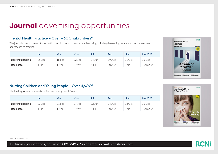#### Mental Health Practice – Over 4,600 subscribers\*

The journal covers a range of information on all aspects of mental health nursing including developing creative and evidence-based approaches to practice.

|                         | Jan    | Mar    | May    | Jul                   | Sep    | Nov    | <b>Jan 2023</b> |
|-------------------------|--------|--------|--------|-----------------------|--------|--------|-----------------|
| <b>Booking deadline</b> | 16 Dec | 18 Feb | 22 Apr | 24 Jun                | 19 Aug | 21 Oct | 15 Dec          |
| Issue date              | 4 Jan  | . Mar  | 3 May  | Jul<br>$\overline{4}$ | 30 Aug | Nov    | 3 Jan 2023      |



#### Nursing Children and Young People – Over 4,600\*

The leading journal in neonatal, infant and young people's care.

|                         | Jan   | Mar                | May                             | Jul    | <b>Sep</b> | <b>Nov</b> | <b>Jan 2023</b> |
|-------------------------|-------|--------------------|---------------------------------|--------|------------|------------|-----------------|
| <b>Booking deadline</b> | 'Dec  | <sup>2</sup> 1 Feb | <sup>27</sup> Apr<br>$\angle$ / | 22 Jun | 24 Aug     | 18 Oct     | 16 Dec          |
| Issue date              | 4 Jan | . Mar              | 3 May                           | 4 Jul  | 30 Aug     | Nov        | 3 Jan 2023      |



\*Active subscribers Nov 2021

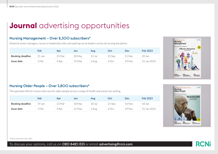#### Nursing Management – Over 2,300 subscribers\*

Aimed at senior managers, nurses in leadership roles and aspiring nurse leaders across all nursing disciplines.

|                         | Feb    | Apr    | Jun    | Aug     | Oct    | Dec    | Feb 2023    |
|-------------------------|--------|--------|--------|---------|--------|--------|-------------|
| <b>Booking deadline</b> | 21 Jan | 25 Mar | 20 May | 22 Jul  | 23 Sep | 21 Nov | 20 Jan      |
| Issue date              | Feb.   | 4 Apr  | 31 May | $2$ Aug | 4 Oct  | 29 Nov | 31 Jan 2023 |



#### Nursing Older People – Over 3,800 subscribers\*

The specialist title for nurses who care for older people across a range of health and social care setting.

|                         | Feb    | Apr    | Jun    | Aug      | Oct    | Dec    | Feb 2023    |
|-------------------------|--------|--------|--------|----------|--------|--------|-------------|
| <b>Booking deadline</b> | L9 Jan | 23 Mar | 18 May | $20$ Jul | 21 Sep | 16 Nov | 18 Jan      |
| Issue date              | Feb    | 4 Apr  | 31 May | 2 Aug    | 4 Oct  | 29 Nov | 31 Jan 2023 |



\*Active subscribers Nov 2021